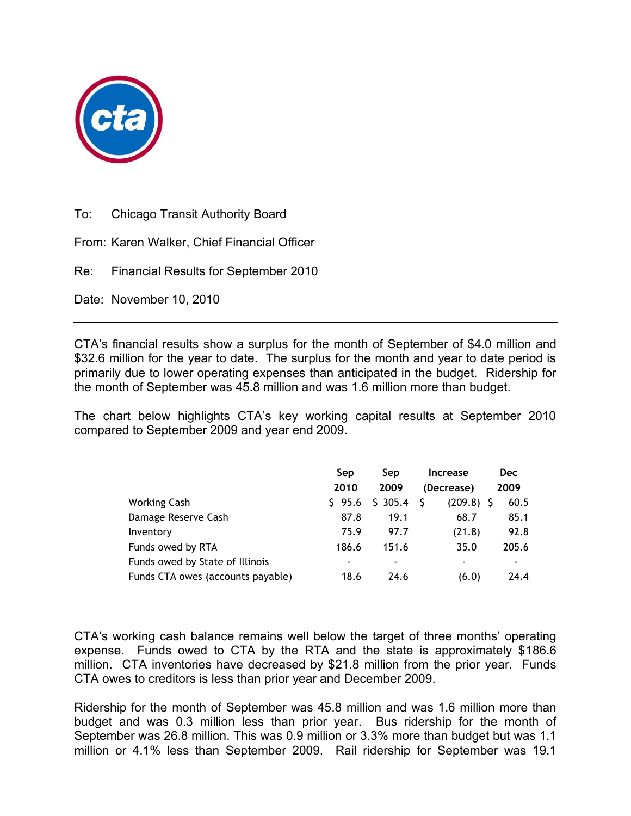

To: Chicago Transit Authority Board

From: Karen Walker, Chief Financial Officer

Re: Financial Results for September 2010

Date: November 10, 2010

CTA's financial results show a surplus for the month of September of \$4.0 million and \$32.6 million for the year to date. The surplus for the month and year to date period is primarily due to lower operating expenses than anticipated in the budget. Ridership for the month of September was 45.8 million and was 1.6 million more than budget.

The chart below highlights CTA's key working capital results at September 2010 compared to September 2009 and year end 2009.

|                                   | Sep                      | Sep                      | <b>Increase</b> | Dec   |
|-----------------------------------|--------------------------|--------------------------|-----------------|-------|
|                                   | 2010                     | 2009                     | (Decrease)      | 2009  |
| Working Cash                      | \$95.6                   | \$305.4                  | $(209.8)$ \$    | 60.5  |
| Damage Reserve Cash               | 87.8                     | 19.1                     | 68.7            | 85.1  |
| Inventory                         | 75.9                     | 97.7                     | (21.8)          | 92.8  |
| Funds owed by RTA                 | 186.6                    | 151.6                    | 35.0            | 205.6 |
| Funds owed by State of Illinois   | $\overline{\phantom{0}}$ | $\overline{\phantom{a}}$ | -               | ۰     |
| Funds CTA owes (accounts payable) | 18.6                     | 24.6                     | (6.0)           | 24.4  |

CTA's working cash balance remains well below the target of three months' operating expense. Funds owed to CTA by the RTA and the state is approximately \$186.6 million. CTA inventories have decreased by \$21.8 million from the prior year. Funds CTA owes to creditors is less than prior year and December 2009.

Ridership for the month of September was 45.8 million and was 1.6 million more than budget and was 0.3 million less than prior year. Bus ridership for the month of September was 26.8 million. This was 0.9 million or 3.3% more than budget but was 1.1 million or 4.1% less than September 2009. Rail ridership for September was 19.1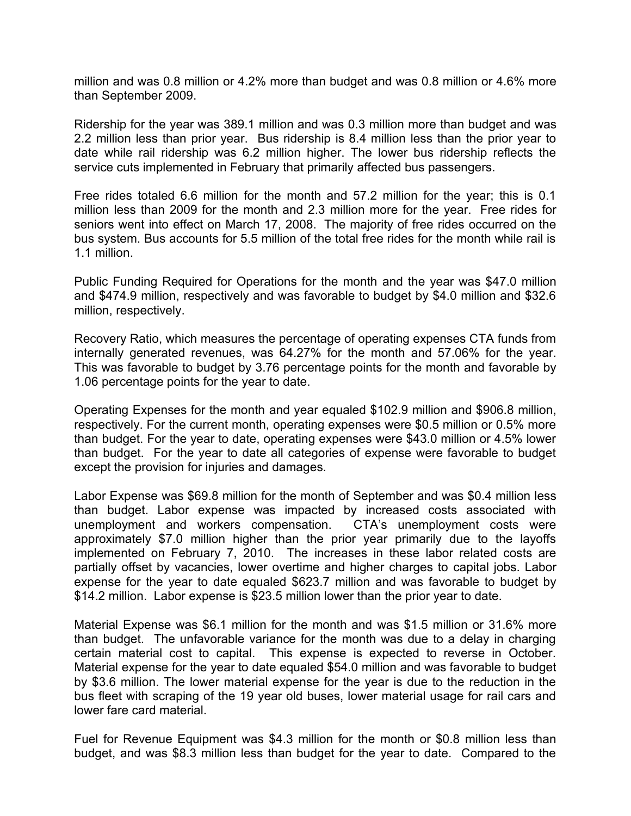million and was 0.8 million or 4.2% more than budget and was 0.8 million or 4.6% more than September 2009.

Ridership for the year was 389.1 million and was 0.3 million more than budget and was 2.2 million less than prior year. Bus ridership is 8.4 million less than the prior year to date while rail ridership was 6.2 million higher. The lower bus ridership reflects the service cuts implemented in February that primarily affected bus passengers.

Free rides totaled 6.6 million for the month and 57.2 million for the year; this is 0.1 million less than 2009 for the month and 2.3 million more for the year. Free rides for seniors went into effect on March 17, 2008. The majority of free rides occurred on the bus system. Bus accounts for 5.5 million of the total free rides for the month while rail is 1.1 million.

Public Funding Required for Operations for the month and the year was \$47.0 million and \$474.9 million, respectively and was favorable to budget by \$4.0 million and \$32.6 million, respectively.

Recovery Ratio, which measures the percentage of operating expenses CTA funds from internally generated revenues, was 64.27% for the month and 57.06% for the year. This was favorable to budget by 3.76 percentage points for the month and favorable by 1.06 percentage points for the year to date.

Operating Expenses for the month and year equaled \$102.9 million and \$906.8 million, respectively. For the current month, operating expenses were \$0.5 million or 0.5% more than budget. For the year to date, operating expenses were \$43.0 million or 4.5% lower than budget. For the year to date all categories of expense were favorable to budget except the provision for injuries and damages.

Labor Expense was \$69.8 million for the month of September and was \$0.4 million less than budget. Labor expense was impacted by increased costs associated with unemployment and workers compensation. CTA's unemployment costs were approximately \$7.0 million higher than the prior year primarily due to the layoffs implemented on February 7, 2010. The increases in these labor related costs are partially offset by vacancies, lower overtime and higher charges to capital jobs. Labor expense for the year to date equaled \$623.7 million and was favorable to budget by \$14.2 million. Labor expense is \$23.5 million lower than the prior year to date.

Material Expense was \$6.1 million for the month and was \$1.5 million or 31.6% more than budget. The unfavorable variance for the month was due to a delay in charging certain material cost to capital. This expense is expected to reverse in October. Material expense for the year to date equaled \$54.0 million and was favorable to budget by \$3.6 million. The lower material expense for the year is due to the reduction in the bus fleet with scraping of the 19 year old buses, lower material usage for rail cars and lower fare card material.

Fuel for Revenue Equipment was \$4.3 million for the month or \$0.8 million less than budget, and was \$8.3 million less than budget for the year to date. Compared to the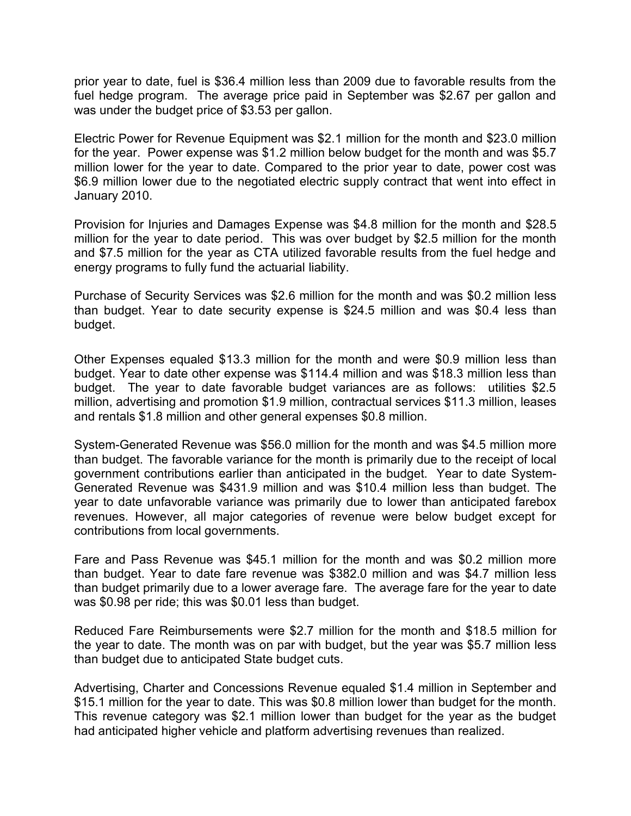prior year to date, fuel is \$36.4 million less than 2009 due to favorable results from the fuel hedge program. The average price paid in September was \$2.67 per gallon and was under the budget price of \$3.53 per gallon.

Electric Power for Revenue Equipment was \$2.1 million for the month and \$23.0 million for the year. Power expense was \$1.2 million below budget for the month and was \$5.7 million lower for the year to date. Compared to the prior year to date, power cost was \$6.9 million lower due to the negotiated electric supply contract that went into effect in January 2010.

Provision for Injuries and Damages Expense was \$4.8 million for the month and \$28.5 million for the year to date period. This was over budget by \$2.5 million for the month and \$7.5 million for the year as CTA utilized favorable results from the fuel hedge and energy programs to fully fund the actuarial liability.

Purchase of Security Services was \$2.6 million for the month and was \$0.2 million less than budget. Year to date security expense is \$24.5 million and was \$0.4 less than budget.

Other Expenses equaled \$13.3 million for the month and were \$0.9 million less than budget. Year to date other expense was \$114.4 million and was \$18.3 million less than budget. The year to date favorable budget variances are as follows: utilities \$2.5 million, advertising and promotion \$1.9 million, contractual services \$11.3 million, leases and rentals \$1.8 million and other general expenses \$0.8 million.

System-Generated Revenue was \$56.0 million for the month and was \$4.5 million more than budget. The favorable variance for the month is primarily due to the receipt of local government contributions earlier than anticipated in the budget. Year to date System-Generated Revenue was \$431.9 million and was \$10.4 million less than budget. The year to date unfavorable variance was primarily due to lower than anticipated farebox revenues. However, all major categories of revenue were below budget except for contributions from local governments.

Fare and Pass Revenue was \$45.1 million for the month and was \$0.2 million more than budget. Year to date fare revenue was \$382.0 million and was \$4.7 million less than budget primarily due to a lower average fare. The average fare for the year to date was \$0.98 per ride; this was \$0.01 less than budget.

Reduced Fare Reimbursements were \$2.7 million for the month and \$18.5 million for the year to date. The month was on par with budget, but the year was \$5.7 million less than budget due to anticipated State budget cuts.

Advertising, Charter and Concessions Revenue equaled \$1.4 million in September and \$15.1 million for the year to date. This was \$0.8 million lower than budget for the month. This revenue category was \$2.1 million lower than budget for the year as the budget had anticipated higher vehicle and platform advertising revenues than realized.